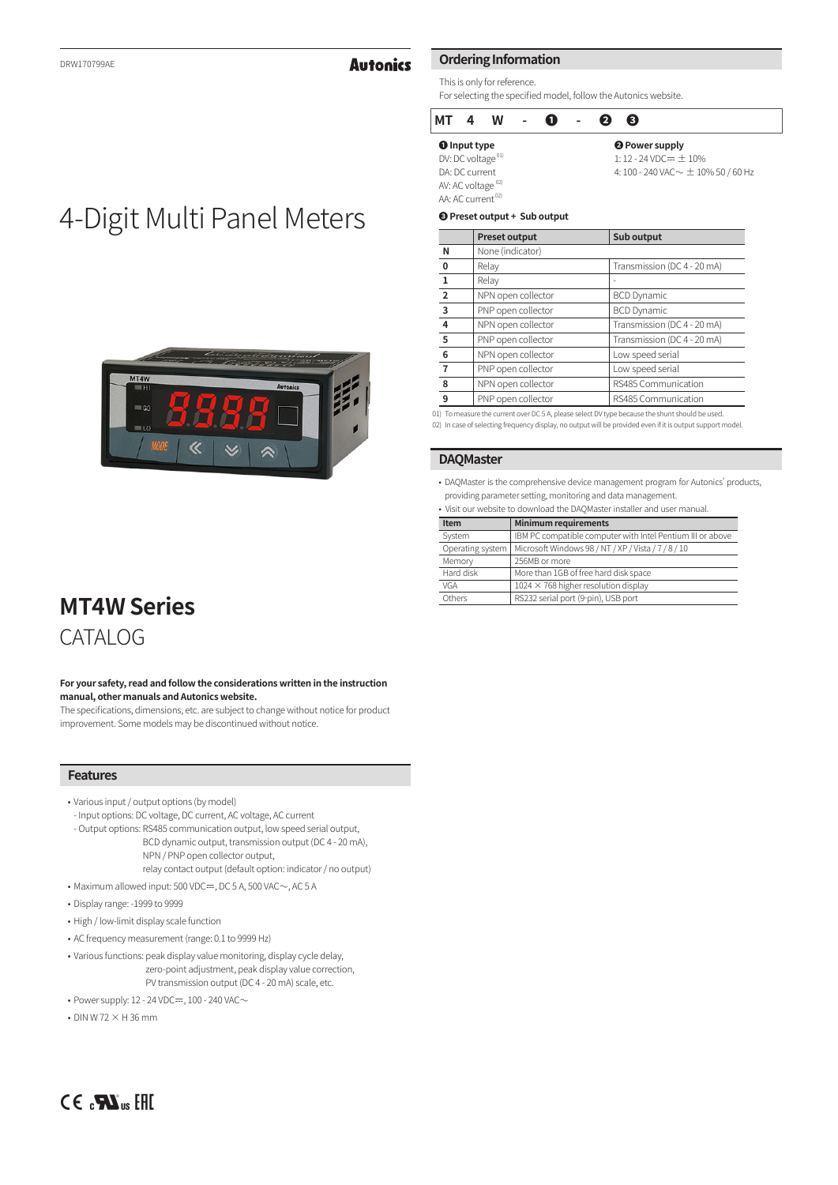# **Autonics**

# **Ordering Information**

This is only for reference. For selecting the specified model, follow the Autonics website.

#### **MT 4 W - ❶ - ❷ ❸ ❶ Input type** DV: DC voltage<sup>01</sup> **❷ Power supply**  $1: 12 - 24$  VDC $= \pm 10\%$ 4: 100 - 240 VAC  $\sim \pm$  10% 50 / 60 Hz

DA: DC current AV: AC voltage<sup>02)</sup> AA: AC current<sup>02)</sup>

#### **❸ Preset output + Sub output**

|                | <b>Preset output</b> | Sub output                  |
|----------------|----------------------|-----------------------------|
| N              | None (indicator)     |                             |
| 0              | Relay                | Transmission (DC 4 - 20 mA) |
| 1              | Relay                |                             |
| $\overline{2}$ | NPN open collector   | <b>BCD Dynamic</b>          |
| 3              | PNP open collector   | <b>BCD Dynamic</b>          |
| 4              | NPN open collector   | Transmission (DC 4 - 20 mA) |
| 5              | PNP open collector   | Transmission (DC 4 - 20 mA) |
| 6              | NPN open collector   | Low speed serial            |
|                | PNP open collector   | Low speed serial            |
| 8              | NPN open collector   | RS485 Communication         |
| 9              | PNP open collector   | RS485 Communication         |

 01) To measure the current over DC 5 A, please select DV type because the shunt should be used. 02) In case of selecting frequency display, no output will be provided even if it is output support model.

#### **DAQMaster**

• DAQMaster is the comprehensive device management program for Autonics' products, providing parameter setting, monitoring and data management.

|  |  |  |  |  |  |  | · Visit our website to download the DAQMaster installer and user manual |  |  |  |  |
|--|--|--|--|--|--|--|-------------------------------------------------------------------------|--|--|--|--|
|--|--|--|--|--|--|--|-------------------------------------------------------------------------|--|--|--|--|

| Item             | <b>Minimum requirements</b>                                |
|------------------|------------------------------------------------------------|
| System           | IBM PC compatible computer with Intel Pentium III or above |
| Operating system | Microsoft Windows 98 / NT / XP / Vista / 7 / 8 / 10        |
| Memory           | 256MB or more                                              |
| Hard disk        | More than 1GB of free hard disk space                      |
| VGA              | $1024 \times 768$ higher resolution display                |
| Others           | RS232 serial port (9-pin), USB port                        |

# 4-Digit Multi Panel Meters



# **MT4W Series** CATALOG

**For your safety, read and follow the considerations written in the instruction manual, other manuals and Autonics website.**

The specifications, dimensions, etc. are subject to change without notice for product improvement. Some models may be discontinued without notice.

# **Features**

- Various input / output options (by model)
- Input options: DC voltage, DC current, AC voltage, AC current
- Output options: RS485 communication output, low speed serial output, BCD dynamic output, transmission output (DC 4 - 20 mA), NPN / PNP open collector output,

relay contact output (default option: indicator / no output)

• Maximum allowed input: 500 VDC $=$ , DC 5 A, 500 VAC $\sim$ , AC 5 A

- Display range: -1999 to 9999
- High / low-limit display scale function
- AC frequency measurement (range: 0.1 to 9999 Hz)
- Various functions: peak display value monitoring, display cycle delay, zero-point adjustment, peak display value correction, PV transmission output (DC 4 - 20 mA) scale, etc.
- Power supply: 12 24 VDC $=$ , 100 240 VAC $\sim$
- $\cdot$  DIN W 72  $\times$  H 36 mm

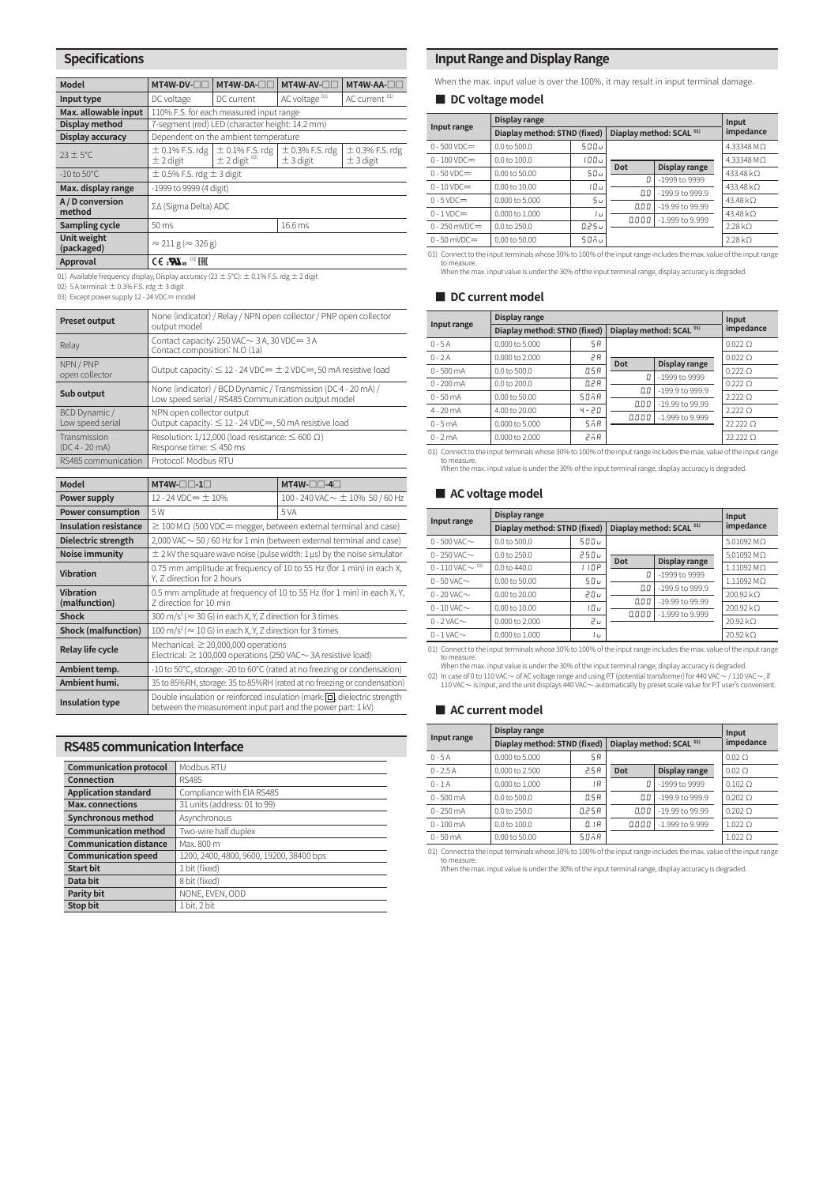## **Specifications**

| Model                      | MT4W-DV-OC                                            | MT4W-DA- <sub>III</sub>                              | MT4W-AV-OC                         | MT4W-AA-OD                           |  |  |
|----------------------------|-------------------------------------------------------|------------------------------------------------------|------------------------------------|--------------------------------------|--|--|
| Input type                 | DC voltage                                            | DC current                                           | AC voltage <sup>01)</sup>          | AC current <sup>01)</sup>            |  |  |
| Max. allowable input       |                                                       | 110% F.S. for each measured input range              |                                    |                                      |  |  |
| Display method             |                                                       | 7-segment (red) LED (character height: 14.2 mm)      |                                    |                                      |  |  |
| Display accuracy           |                                                       | Dependent on the ambient temperature                 |                                    |                                      |  |  |
| $23 \pm 5^{\circ}$ C       | $\pm$ 0.1% F.S. rdg<br>$\pm$ 2 digit                  | $\pm 0.1\%$ F.S. rdg<br>$\pm 2$ digit $\frac{02}{2}$ | $\pm$ 0.3% F.S. rdg<br>$±$ 3 digit | $\pm$ 0.3% F.S. rdg<br>$\pm$ 3 digit |  |  |
| $-10$ to $50^{\circ}$ C    | $\pm$ 0.5% F.S. rdg $\pm$ 3 digit                     |                                                      |                                    |                                      |  |  |
| Max. display range         | -1999 to 9999 (4 digit)                               |                                                      |                                    |                                      |  |  |
| A / D conversion<br>method | ΣΔ (Sigma Delta) ADC                                  |                                                      |                                    |                                      |  |  |
| Sampling cycle             | $50 \text{ ms}$                                       |                                                      | 16.6 ms                            |                                      |  |  |
| Unit weight<br>(packaged)  | $\approx$ 211 g ( $\approx$ 326 g)                    |                                                      |                                    |                                      |  |  |
| Approval                   | $CE$ <sub>c</sub> $\mathbf{W}_{us}$ <sup>03</sup> EHI |                                                      |                                    |                                      |  |  |

01) Available frequency display, Display accuracy ( $23 \pm 5^{\circ}$ C):  $\pm$  0.1% F.S. rdg  $\pm$  2 digit

02) 5 A terminal:  $\pm$  0.3% F.S. rdg  $\pm$  3 digit 03) Except power supply 12 - 24 VDC $=$  model

| <b>Preset output</b>              | None (indicator) / Relay / NPN open collector / PNP open collector<br>output model                                    |
|-----------------------------------|-----------------------------------------------------------------------------------------------------------------------|
| Relay                             | Contact capacity: $250$ VAC $\sim$ 3 A, 30 VDC = 3 A<br>Contact composition: N.O (1a)                                 |
| NPN / PNP<br>open collector       | Output capacity: $\leq$ 12 - 24 VDC= $\pm$ 2 VDC=, 50 mA resistive load                                               |
| Sub output                        | None (indicator) / BCD Dynamic / Transmission (DC 4 - 20 mA) /<br>Low speed serial / RS485 Communication output model |
| BCD Dynamic /<br>Low speed serial | NPN open collector output<br>Output capacity: $\leq$ 12 - 24 VDC=, 50 mA resistive load                               |
| Transmission<br>$(DC4 - 20 mA)$   | Resolution: 1/12,000 (load resistance: $\leq 600 \Omega$ )<br>Response time: $\leq$ 450 ms                            |
| RS485 communication               | Protocol: Modbus RTU                                                                                                  |

| <b>Model</b>                                                                                                           | $MT4W \Box$ $-1$ $\Box$                                                                                                                         | $MT4W-\Box -4\Box$                                                           |  |  |  |
|------------------------------------------------------------------------------------------------------------------------|-------------------------------------------------------------------------------------------------------------------------------------------------|------------------------------------------------------------------------------|--|--|--|
| Power supply                                                                                                           | 12 - 24 VDC= $\pm$ 10%                                                                                                                          | 100 - 240 VAC $\sim$ $\pm$ 10% 50 / 60 Hz                                    |  |  |  |
| <b>Power consumption</b>                                                                                               | 5 W                                                                                                                                             | 5 VA                                                                         |  |  |  |
| <b>Insulation resistance</b>                                                                                           | $\geq$ 100 M $\Omega$ (500 VDC= megger, between external terminal and case)                                                                     |                                                                              |  |  |  |
| Dielectric strength                                                                                                    |                                                                                                                                                 | $2,000$ VAC $\sim$ 50 / 60 Hz for 1 min (between external terminal and case) |  |  |  |
| Noise immunity                                                                                                         |                                                                                                                                                 | $\pm$ 2 kV the square wave noise (pulse width: 1 µs) by the noise simulator  |  |  |  |
| 0.75 mm amplitude at frequency of 10 to 55 Hz (for 1 min) in each X,<br><b>Vibration</b><br>Y, Z direction for 2 hours |                                                                                                                                                 |                                                                              |  |  |  |
| <b>Vibration</b><br>(malfunction)                                                                                      | 0.5 mm amplitude at frequency of 10 to 55 Hz (for 1 min) in each X, Y,<br>Z direction for 10 min                                                |                                                                              |  |  |  |
| <b>Shock</b>                                                                                                           | 300 m/s <sup>2</sup> ( $\approx$ 30 G) in each X, Y, Z direction for 3 times                                                                    |                                                                              |  |  |  |
| <b>Shock (malfunction)</b>                                                                                             | $100 \text{ m/s}^2 \approx 10 \text{ G}$ in each X, Y, Z direction for 3 times                                                                  |                                                                              |  |  |  |
| <b>Relay life cycle</b>                                                                                                | Mechanical: $\geq 20,000,000$ operations<br>Electrical: $\geq 100,000$ operations (250 VAC $\sim$ 3A resistive load)                            |                                                                              |  |  |  |
| Ambient temp.                                                                                                          | -10 to 50°C, storage: -20 to 60°C (rated at no freezing or condensation)                                                                        |                                                                              |  |  |  |
| Ambient humi.                                                                                                          | 35 to 85%RH, storage: 35 to 85%RH (rated at no freezing or condensation)                                                                        |                                                                              |  |  |  |
| <b>Insulation type</b>                                                                                                 | Double insulation or reinforced insulation (mark: $\Box$ ), dielectric strength<br>between the measurement input part and the power part: 1 kV) |                                                                              |  |  |  |

#### **RS485 communication Interface**

| <b>Communication protocol</b> | Modbus RTU                               |
|-------------------------------|------------------------------------------|
| Connection                    | <b>RS485</b>                             |
| <b>Application standard</b>   | Compliance with EIA RS485                |
| <b>Max.</b> connections       | 31 units (address: 01 to 99)             |
| <b>Synchronous method</b>     | Asynchronous                             |
| <b>Communication method</b>   | Two-wire half duplex                     |
| <b>Communication distance</b> | Max. 800 m                               |
| <b>Communication speed</b>    | 1200, 2400, 4800, 9600, 19200, 38400 bps |
| <b>Start bit</b>              | 1 bit (fixed)                            |
| Data bit                      | 8 bit (fixed)                            |
| <b>Parity bit</b>             | NONE, EVEN, ODD                          |
| Stop bit                      | 1 bit, 2 bit                             |

## **Input Range and Display Range**

When the max. input value is over the 100%, it may result in input terminal damage.

## ■ **DC** voltage model

| Input range     | Display range                | Input          |                                     |                   |                      |
|-----------------|------------------------------|----------------|-------------------------------------|-------------------|----------------------|
|                 | Diaplay method: STND (fixed) |                | Diaplay method: SCAL <sup>01)</sup> | impedance         |                      |
| $0 - 500$ VDC=  | $0.0$ to 500.0               | 500u           |                                     |                   | $4.33348$ M $\Omega$ |
| $0 - 100$ VDC=  | $0.0$ to $100.0$             | 00 ل           | Dot                                 |                   | 4.33348 MΩ           |
| $0 - 50$ VDC=   | $0.00$ to 50.00              | 50u            | П                                   | Display range     | 433.48 kO            |
| $0 - 10$ VDC=   | $0.00$ to $10.00$            | 10υ            |                                     | -1999 to 9999     | 433.48 kO            |
| $0 - 5$ VDC=    | $0.000$ to 5.000             | 5 <sub>u</sub> | 0.0                                 | $-199.9$ to 999.9 | 43.48 kO             |
| $0 - 1$ VDC $=$ | $0.000$ to $1.000$           | lυ             | 0.00                                | $-19.99$ to 99.99 | 43.48 $k\Omega$      |
| $0 - 250$ mVDC= | $0.0$ to 250.0               | 0.25 u         | 0.000                               | $-1.999$ to 9.999 | $2.28 k\Omega$       |
| $0 - 50$ mVDC=  | 0.00 to 50.00                | 50ñu           |                                     |                   | $2.28 k\Omega$       |

 01) Connect to the input terminals whose 30% to 100% of the input range includes the max. value of the input range to measure. When the max. input value is under the 30% of the input terminal range, display accuracy is degraded.

#### ■ **DC** current model

|              | Display range                | Input    |                                     |                 |                |
|--------------|------------------------------|----------|-------------------------------------|-----------------|----------------|
| Input range  | Diaplay method: STND (fixed) |          | Diaplay method: SCAL <sup>01)</sup> | impedance       |                |
| $0 - 5A$     | 0.000 to 5.000               | 5R       |                                     |                 | $0.022$ O      |
| $0 - 2A$     | 0.000 to 2.000               | гA       |                                     |                 | $0.022 \Omega$ |
| $0 - 500$ mA | 0.0 to 500.0                 | O.S.R    | Dot<br>Л                            | Display range   | $0.222$ O      |
| $0 - 200$ mA | $0.0$ to $200.0$             | 0.2 R    |                                     | -1999 to 9999   | $0.222$ O      |
| $0 - 50$ mA  | $0.00$ to 50.00              | 50 A R   | O.O                                 | -199.9 to 999.9 | 2.2220         |
| $4 - 20$ mA  | 4.00 to 20.00                | 4-20     | 0.00                                | -19.99 to 99.99 | 2.2220         |
| $0 - 5mA$    | 0.000 to 5.000               | $5n$ $R$ | 0.000                               | -1.999 to 9.999 | 22.2220        |
| $0 - 2mA$    | 0.000 to 2.000               | 25.R     |                                     |                 | 22.222 O       |

01) Connect to the input terminals whose 30% to 100% of the input range includes the max. value of the input range

to measure. When the max. input value is under the 30% of the input terminal range, display accuracy is degraded.

#### ■ **AC voltage model**

|                        | Display range                | Input |                                     |                                                                          |                      |
|------------------------|------------------------------|-------|-------------------------------------|--------------------------------------------------------------------------|----------------------|
| Input range            | Diaplay method: STND (fixed) |       | Diaplay method: SCAL <sup>01)</sup> | impedance                                                                |                      |
| 0 - 500 VAC $\sim$     | 0.0 to 500.0                 | ى 500 |                                     |                                                                          | 5.01092 MO           |
| $0 - 250$ VAC $\sim$   | $0.0$ to $250.0$             | 250u  | Dot                                 |                                                                          | 5.01092 MO           |
| 0 - 110 VAC $\sim$ 02) | 0.0 to 440.0                 | 110P  |                                     | Display range                                                            | 1.11092 MO           |
| $0 - 50$ VAC $\sim$    | $0.00$ to 50.00              | 50u   |                                     |                                                                          | $1.11092$ M $\Omega$ |
| $0 - 20$ VAC $\sim$    | 0.00 to 20.00                | 20u   |                                     |                                                                          | $200.92 k\Omega$     |
| $0 - 10$ VAC $\sim$    | 0.00 to 10.00                | 10υ   |                                     |                                                                          | 200.92 kO            |
| $0 - 2$ VAC $\sim$     | $0.000$ to $2.000$           | 5л    |                                     |                                                                          | 20.92 kΩ             |
| $0 - 1$ VAC $\sim$     | 0.000 to 1.000               | lυ    |                                     |                                                                          | $20.92 k\Omega$      |
|                        |                              |       | O<br>0.0<br>0.00<br>0.000           | -1999 to 9999<br>$-199.9$ to 999.9<br>-19.99 to 99.99<br>-1.999 to 9.999 |                      |

01) Connect to the input terminals whose 30% to 100% of the input range includes the max. value of the input range

to measure.<br>When the max. input value is under the 30% of the input terminal range, display accuracy is degraded.<br>O2) In case of 0 to 110 VAC ~ of AC voltage range and using P.T (potential transformer) for 440 VAC ~ / 110

#### ■ **AC current model**

|              | Display range                | Input  |                                     |                   |                 |
|--------------|------------------------------|--------|-------------------------------------|-------------------|-----------------|
| Input range  | Diaplay method: STND (fixed) |        | Diaplay method: SCAL <sup>01)</sup> | impedance         |                 |
| $0 - 5A$     | 0.000 to 5.000               | 5R     |                                     |                   | $0.02\Omega$    |
| $0 - 2.5A$   | $0.000$ to 2.500             | 2.5 R  | Dot                                 | Display range     | $0.02\Omega$    |
| $0 - 1A$     | 0.000 to 1.000               | 1B     | П                                   | -1999 to 9999     | $0.102$ $\circ$ |
| $0 - 500$ mA | 0.0 to 500.0                 | O.S.R  | 0.0                                 | $-199.9$ to 999.9 | $0.202$ O       |
| $0 - 250$ mA | 0.0 to 250.0                 | 0.25 A | 0.00                                | -19.99 to 99.99   | $0.202$ O       |
| $0 - 100$ mA | $0.0$ to $100.0$             | 0.18   | 0.000                               | -1.999 to 9.999   | $1.022$ O       |
| $0 - 50$ mA  | 0.00 to 50.00                | 505A   |                                     |                   | $1.022 \Omega$  |

01) Connect to the input terminals whose 30% to 100% of the input range includes the max. value of the input range<br>to measure.<br>When the max. input value is under the 30% of the input terminal range, display accuracy is deg